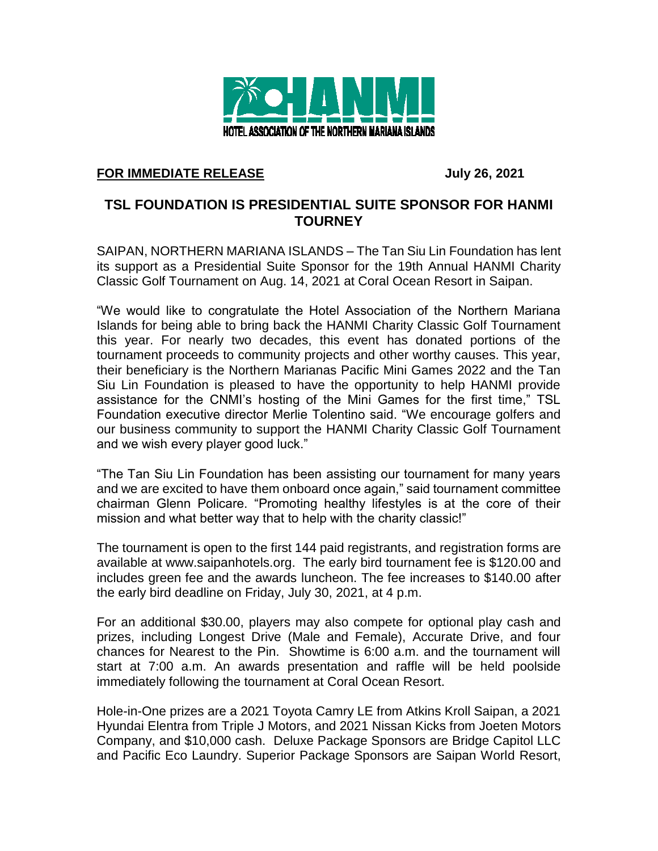

## **FOR IMMEDIATE RELEASE July 26, 2021**

## **TSL FOUNDATION IS PRESIDENTIAL SUITE SPONSOR FOR HANMI TOURNEY**

SAIPAN, NORTHERN MARIANA ISLANDS – The Tan Siu Lin Foundation has lent its support as a Presidential Suite Sponsor for the 19th Annual HANMI Charity Classic Golf Tournament on Aug. 14, 2021 at Coral Ocean Resort in Saipan.

"We would like to congratulate the Hotel Association of the Northern Mariana Islands for being able to bring back the HANMI Charity Classic Golf Tournament this year. For nearly two decades, this event has donated portions of the tournament proceeds to community projects and other worthy causes. This year, their beneficiary is the Northern Marianas Pacific Mini Games 2022 and the Tan Siu Lin Foundation is pleased to have the opportunity to help HANMI provide assistance for the CNMI's hosting of the Mini Games for the first time," TSL Foundation executive director Merlie Tolentino said. "We encourage golfers and our business community to support the HANMI Charity Classic Golf Tournament and we wish every player good luck."

"The Tan Siu Lin Foundation has been assisting our tournament for many years and we are excited to have them onboard once again," said tournament committee chairman Glenn Policare. "Promoting healthy lifestyles is at the core of their mission and what better way that to help with the charity classic!"

The tournament is open to the first 144 paid registrants, and registration forms are available at www.saipanhotels.org. The early bird tournament fee is \$120.00 and includes green fee and the awards luncheon. The fee increases to \$140.00 after the early bird deadline on Friday, July 30, 2021, at 4 p.m.

For an additional \$30.00, players may also compete for optional play cash and prizes, including Longest Drive (Male and Female), Accurate Drive, and four chances for Nearest to the Pin. Showtime is 6:00 a.m. and the tournament will start at 7:00 a.m. An awards presentation and raffle will be held poolside immediately following the tournament at Coral Ocean Resort.

Hole-in-One prizes are a 2021 Toyota Camry LE from Atkins Kroll Saipan, a 2021 Hyundai Elentra from Triple J Motors, and 2021 Nissan Kicks from Joeten Motors Company, and \$10,000 cash. Deluxe Package Sponsors are Bridge Capitol LLC and Pacific Eco Laundry. Superior Package Sponsors are Saipan World Resort,